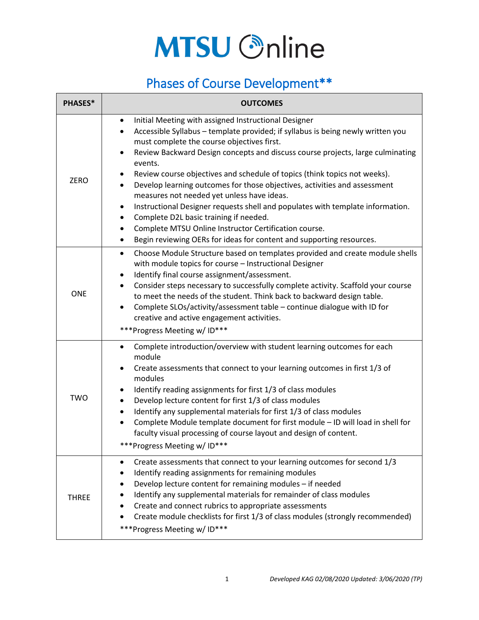## **MTSU Online**

## Phases of Course Development\*\*

| <b>PHASES*</b> | <b>OUTCOMES</b>                                                                                                                                                                                                                                                                                                                                                                                                                                                                                                                                                                                                                                                                                                                                                                                                                    |
|----------------|------------------------------------------------------------------------------------------------------------------------------------------------------------------------------------------------------------------------------------------------------------------------------------------------------------------------------------------------------------------------------------------------------------------------------------------------------------------------------------------------------------------------------------------------------------------------------------------------------------------------------------------------------------------------------------------------------------------------------------------------------------------------------------------------------------------------------------|
| <b>ZERO</b>    | Initial Meeting with assigned Instructional Designer<br>$\bullet$<br>Accessible Syllabus - template provided; if syllabus is being newly written you<br>$\bullet$<br>must complete the course objectives first.<br>Review Backward Design concepts and discuss course projects, large culminating<br>$\bullet$<br>events.<br>Review course objectives and schedule of topics (think topics not weeks).<br>٠<br>Develop learning outcomes for those objectives, activities and assessment<br>$\bullet$<br>measures not needed yet unless have ideas.<br>Instructional Designer requests shell and populates with template information.<br>٠<br>Complete D2L basic training if needed.<br>Complete MTSU Online Instructor Certification course.<br>Begin reviewing OERs for ideas for content and supporting resources.<br>$\bullet$ |
| <b>ONE</b>     | Choose Module Structure based on templates provided and create module shells<br>$\bullet$<br>with module topics for course - Instructional Designer<br>Identify final course assignment/assessment.<br>$\bullet$<br>Consider steps necessary to successfully complete activity. Scaffold your course<br>$\bullet$<br>to meet the needs of the student. Think back to backward design table.<br>Complete SLOs/activity/assessment table - continue dialogue with ID for<br>$\bullet$<br>creative and active engagement activities.<br>***Progress Meeting w/ ID***                                                                                                                                                                                                                                                                  |
| <b>TWO</b>     | Complete introduction/overview with student learning outcomes for each<br>$\bullet$<br>module<br>Create assessments that connect to your learning outcomes in first 1/3 of<br>٠<br>modules<br>Identify reading assignments for first 1/3 of class modules<br>٠<br>Develop lecture content for first 1/3 of class modules<br>Identify any supplemental materials for first 1/3 of class modules<br>$\bullet$<br>Complete Module template document for first module - ID will load in shell for<br>faculty visual processing of course layout and design of content.<br>***Progress Meeting w/ID***                                                                                                                                                                                                                                  |
| <b>THREE</b>   | Create assessments that connect to your learning outcomes for second 1/3<br>٠<br>Identify reading assignments for remaining modules<br>Develop lecture content for remaining modules - if needed<br>Identify any supplemental materials for remainder of class modules<br>Create and connect rubrics to appropriate assessments<br>Create module checklists for first 1/3 of class modules (strongly recommended)<br>***Progress Meeting w/ID***                                                                                                                                                                                                                                                                                                                                                                                   |